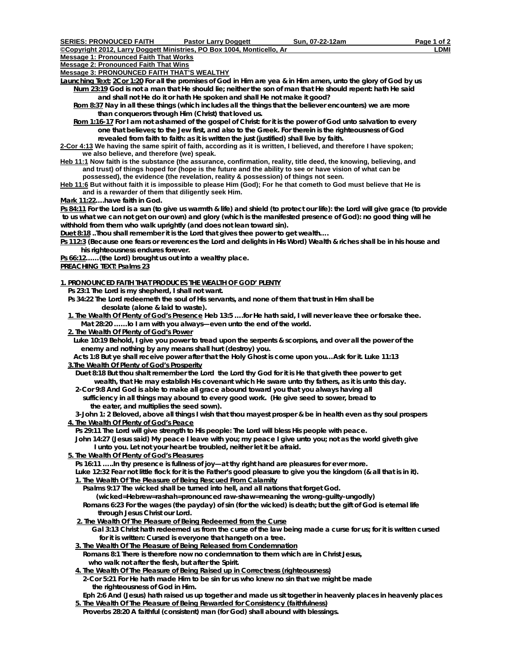*©Copyright 2012, Larry Doggett Ministries, PO Box 1004, Monticello, Ar* **Message 1: Pronounced Faith That Works** 

**Message 2: Pronounced Faith That Wins**

**Message 3: PRONOUNCED FAITH THAT'S WEALTHY**

**Launching Text: 2Cor 1:20 For all the promises of God in Him are yea & in Him amen, unto the glory of God by us Num 23:19 God is not a man that He should lie; neither the son of man that He should repent: hath He said and shall not He do it or hath He spoken and shall He not make it good?** 

 **Rom 8:37 Nay in all these things (which includes all the things that the believer encounters) we are more than conquerors through Him (Christ) that loved us.** 

 **Rom 1:16-17 For I am not ashamed of the gospel of Christ: for it is the power of God unto salvation to every one that believes; to the Jew first, and also to the Greek. For therein is the righteousness of God revealed from faith to faith: as it is written the just (justified) shall live by faith.** 

**2-Cor 4:13 We having the same spirit of faith, according as it is written, I believed, and therefore I have spoken; we also believe, and therefore (we) speak.** 

**Heb 11:1 Now faith is the substance (the assurance, confirmation, reality, title deed, the knowing, believing, and and trust) of things hoped for (hope is the future and the ability to see or have vision of what can be possessed), the evidence (the revelation, reality & possession) of things not seen.** 

**Heb 11:6 But without faith it is impossible to please Him (God); For he that cometh to God must believe that He is and is a rewarder of them that diligently seek Him.** 

**Mark 11:22….have faith in God.** 

**Ps 84:11 For the Lord is a sun (to give us warmth & life) and shield (to protect our life): the Lord will give grace (to provide to us what we can not get on our own) and glory (which is the manifested presence of God): no good thing will he withhold from them who walk uprightly (and does not lean toward sin).** 

**Duet 8:18 ..Thou shall remember it is the Lord that gives thee power to get wealth….** 

**Ps 112:3 (Because one fears or reverences the Lord and delights in His Word) Wealth & riches shall be in his house and his righteousness endures forever.** 

**Ps 66:12……(the Lord) brought us out into a wealthy place.** 

**PREACHING TEXT: Psalms 23**

**1. PRONOUNCED FAITH THAT PRODUCES THE WEALTH OF GOD' PLENTY**

 **Ps 23:1 The Lord is my shepherd, I shall not want.** 

- **Ps 34:22 The Lord redeemeth the soul of His servants, and none of them that trust in Him shall be desolate (alone & laid to waste).**
- *1. The Wealth Of Plenty of God's Presence* **Heb 13:5 ….for He hath said, I will never leave thee or forsake thee. Mat 28:20 ……lo I am with you always—even unto the end of the world.**
- *2. The Wealth Of Plenty of God's Power*

 **Luke 10:19 Behold, I give you power to tread upon the serpents & scorpions, and over all the power of the enemy and nothing by any means shall hurt (destroy) you.** 

 **Acts 1:8 But ye shall receive power after that the Holy Ghost is come upon you…Ask for it. Luke 11:13** *3.The Wealth Of Plenty of God's Prosperity*

 **Duet 8:18 But thou shalt remember the Lord the Lord thy God for it is He that giveth thee power to get wealth, that He may establish His covenant which He sware unto thy fathers, as it is unto this day.** 

 **2-Cor 9:8 And God is able to make all grace abound toward you that you always having all sufficiency in all things may abound to every good work. (He give seed to sower, bread to the eater, and multiplies the seed sown).** 

 **3-John 1: 2 Beloved, above all things I wish that thou mayest prosper & be in health even as thy soul prospers** *4. The Wealth Of Plenty of God's Peace*

 **Ps 29:11 The Lord will give strength to His people: The Lord will bless His people with peace.** 

 **John 14:27 (Jesus said) My peace I leave with you; my peace I give unto you; not as the world giveth give I unto you. Let not your heart be troubled, neither let it be afraid.** 

*5. The Wealth Of Plenty of God's Pleasures*

 **Ps 16:11 …..In thy presence is fullness of joy—at thy right hand are pleasures for ever more.** 

Luke 12:32 Fear not little flock for it is the Father's good pleasure to give you the kingdom (& all that is in it).

#### **1. The Wealth Of The Pleasure of Being Rescued From Calamity**

 **Psalms 9:17 The wicked shall be turned into hell, and all nations that forget God.** 

- **(wicked=Hebrew=rashah=pronounced raw-shaw=meaning the wrong-guilty-ungodly)**
- **Romans 6:23 For the wages (the payday) of sin (for the wicked) is death; but the gift of God is eternal life through Jesus Christ our Lord.**
- **2. The Wealth Of The Pleasure of Being Redeemed from the Curse**

**Gal 3:13 Christ hath redeemed us from the curse of the law being made a curse for us; for it is written cursed for it is written: Cursed is everyone that hangeth on a tree.** 

- **3. The Wealth Of The Pleasure of Being Released from Condemnation Romans 8:1 There is therefore now no condemnation to them which are in Christ Jesus,**
- **who walk not after the flesh, but after the Spirit.**
- **4. The Wealth Of The Pleasure of Being Raised up in Correctness** *(righteousness)*  **2-Cor 5:21 For He hath made Him to be sin for us who knew no sin that we might be made** 
	- **the righteousness of God in Him.**
- **Eph 2:6 And (Jesus) hath raised us up together and made us sit together in heavenly places in heavenly places 5. The Wealth Of The Pleasure of Being Rewarded for Consistency** *(faithfulness)*
- **Proverbs 28:20 A faithful (consistent) man (for God) shall abound with blessings.**